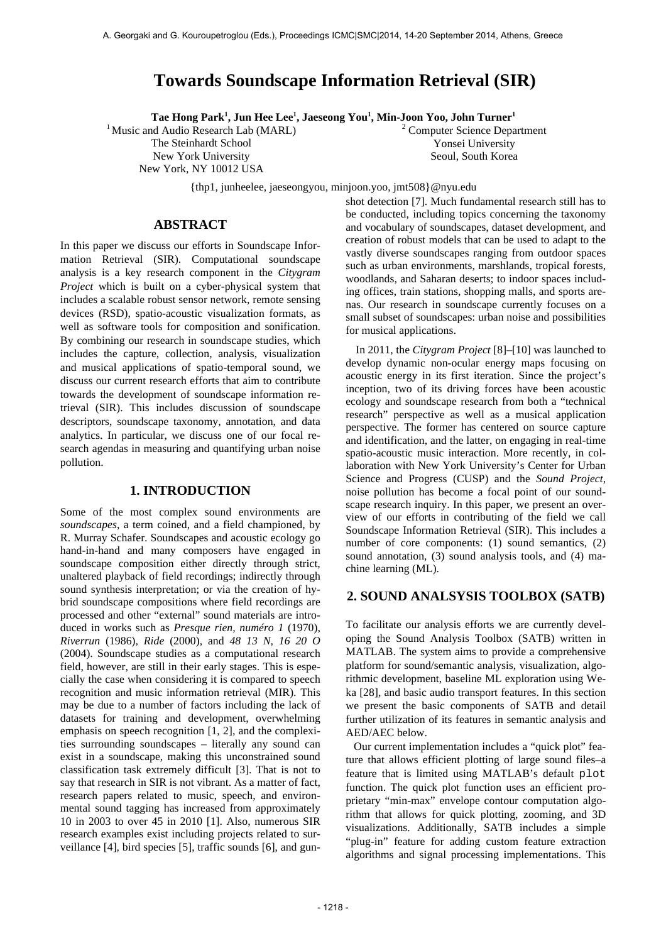# **Towards Soundscape Information Retrieval (SIR)**

**Tae Hong Park<sup>1</sup> , Jun Hee Lee<sup>1</sup> , Jaeseong You<sup>1</sup> , Min-Joon Yoo, John Turner<sup>1</sup>**

<sup>1</sup> Music and Audio Research Lab (MARL) The Steinhardt School New York University

New York, NY 10012 USA

<sup>2</sup> Computer Science Department Yonsei University Seoul, South Korea

{thp1, junheelee, jaeseongyou, minjoon.yoo, jmt508}@nyu.edu

# **ABSTRACT**

In this paper we discuss our efforts in Soundscape Information Retrieval (SIR). Computational soundscape analysis is a key research component in the *Citygram Project* which is built on a cyber-physical system that includes a scalable robust sensor network, remote sensing devices (RSD), spatio-acoustic visualization formats, as well as software tools for composition and sonification. By combining our research in soundscape studies, which includes the capture, collection, analysis, visualization and musical applications of spatio-temporal sound, we discuss our current research efforts that aim to contribute towards the development of soundscape information retrieval (SIR). This includes discussion of soundscape descriptors, soundscape taxonomy, annotation, and data analytics. In particular, we discuss one of our focal research agendas in measuring and quantifying urban noise pollution.

# **1. INTRODUCTION**

Some of the most complex sound environments are *soundscapes*, a term coined, and a field championed, by R. Murray Schafer. Soundscapes and acoustic ecology go hand-in-hand and many composers have engaged in soundscape composition either directly through strict, unaltered playback of field recordings; indirectly through sound synthesis interpretation; or via the creation of hybrid soundscape compositions where field recordings are processed and other "external" sound materials are introduced in works such as *Presque rien, numéro 1* (1970), *Riverrun* (1986), *Ride* (2000), and *48 13 N, 16 20 O* (2004). Soundscape studies as a computational research field, however, are still in their early stages. This is especially the case when considering it is compared to speech recognition and music information retrieval (MIR). This may be due to a number of factors including the lack of datasets for training and development, overwhelming emphasis on speech recognition [1, 2], and the complexities surrounding soundscapes – literally any sound can exist in a soundscape, making this unconstrained sound classification task extremely difficult [3]. That is not to say that research in SIR is not vibrant. As a matter of fact, research papers related to music, speech, and environmental sound tagging has increased from approximately 10 in 2003 to over 45 in 2010 [1]. Also, numerous SIR research examples exist including projects related to surveillance [4], bird species [5], traffic sounds [6], and gunshot detection [7]. Much fundamental research still has to be conducted, including topics concerning the taxonomy and vocabulary of soundscapes, dataset development, and creation of robust models that can be used to adapt to the vastly diverse soundscapes ranging from outdoor spaces such as urban environments, marshlands, tropical forests, woodlands, and Saharan deserts; to indoor spaces including offices, train stations, shopping malls, and sports arenas. Our research in soundscape currently focuses on a small subset of soundscapes: urban noise and possibilities for musical applications.

In 2011, the *Citygram Project* [8]–[10] was launched to develop dynamic non-ocular energy maps focusing on acoustic energy in its first iteration. Since the project's inception, two of its driving forces have been acoustic ecology and soundscape research from both a "technical research" perspective as well as a musical application perspective. The former has centered on source capture and identification, and the latter, on engaging in real-time spatio-acoustic music interaction. More recently, in collaboration with New York University's Center for Urban Science and Progress (CUSP) and the *Sound Project*, noise pollution has become a focal point of our soundscape research inquiry. In this paper, we present an overview of our efforts in contributing of the field we call Soundscape Information Retrieval (SIR). This includes a number of core components: (1) sound semantics, (2) sound annotation, (3) sound analysis tools, and (4) machine learning (ML).

# **2. SOUND ANALSYSIS TOOLBOX (SATB)**

To facilitate our analysis efforts we are currently developing the Sound Analysis Toolbox (SATB) written in MATLAB. The system aims to provide a comprehensive platform for sound/semantic analysis, visualization, algorithmic development, baseline ML exploration using Weka [28], and basic audio transport features. In this section we present the basic components of SATB and detail further utilization of its features in semantic analysis and AED/AEC below.

Our current implementation includes a "quick plot" feature that allows efficient plotting of large sound files–a feature that is limited using MATLAB's default plot function. The quick plot function uses an efficient proprietary "min-max" envelope contour computation algorithm that allows for quick plotting, zooming, and 3D visualizations. Additionally, SATB includes a simple "plug-in" feature for adding custom feature extraction algorithms and signal processing implementations. This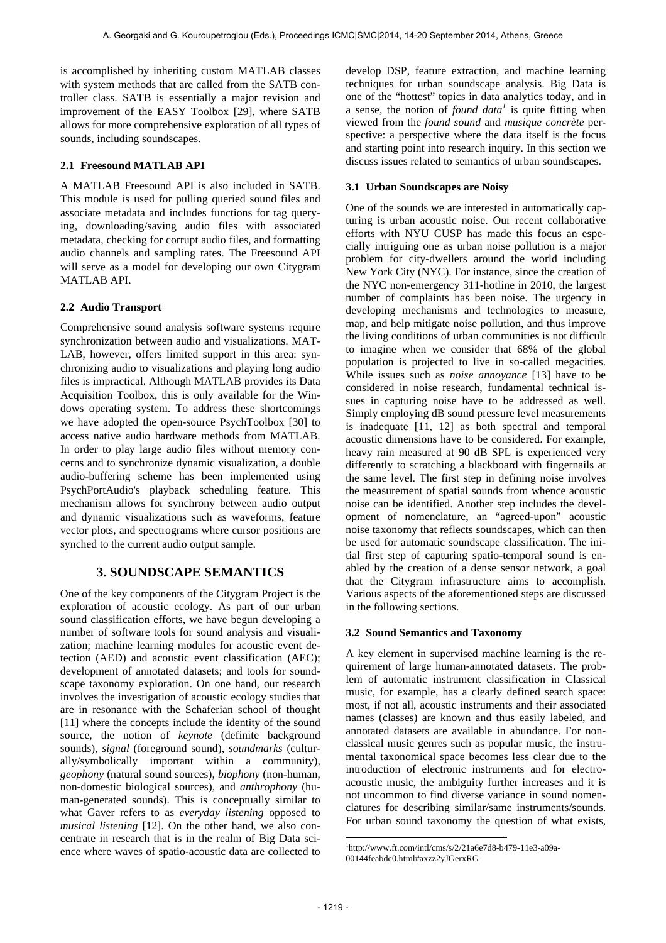is accomplished by inheriting custom MATLAB classes with system methods that are called from the SATB controller class. SATB is essentially a major revision and improvement of the EASY Toolbox [29], where SATB allows for more comprehensive exploration of all types of sounds, including soundscapes.

### **2.1 Freesound MATLAB API**

A MATLAB Freesound API is also included in SATB. This module is used for pulling queried sound files and associate metadata and includes functions for tag querying, downloading/saving audio files with associated metadata, checking for corrupt audio files, and formatting audio channels and sampling rates. The Freesound API will serve as a model for developing our own Citygram MATLAB API.

# **2.2 Audio Transport**

Comprehensive sound analysis software systems require synchronization between audio and visualizations. MAT-LAB, however, offers limited support in this area: synchronizing audio to visualizations and playing long audio files is impractical. Although MATLAB provides its Data Acquisition Toolbox, this is only available for the Windows operating system. To address these shortcomings we have adopted the open-source PsychToolbox [30] to access native audio hardware methods from MATLAB. In order to play large audio files without memory concerns and to synchronize dynamic visualization, a double audio-buffering scheme has been implemented using PsychPortAudio's playback scheduling feature. This mechanism allows for synchrony between audio output and dynamic visualizations such as waveforms, feature vector plots, and spectrograms where cursor positions are synched to the current audio output sample.

# **3. SOUNDSCAPE SEMANTICS**

One of the key components of the Citygram Project is the exploration of acoustic ecology. As part of our urban sound classification efforts, we have begun developing a number of software tools for sound analysis and visualization; machine learning modules for acoustic event detection (AED) and acoustic event classification (AEC); development of annotated datasets; and tools for soundscape taxonomy exploration. On one hand, our research involves the investigation of acoustic ecology studies that are in resonance with the Schaferian school of thought [11] where the concepts include the identity of the sound source, the notion of *keynote* (definite background sounds), *signal* (foreground sound), *soundmarks* (culturally/symbolically important within a community), *geophony* (natural sound sources), *biophony* (non-human, non-domestic biological sources), and *anthrophony* (human-generated sounds). This is conceptually similar to what Gaver refers to as *everyday listening* opposed to *musical listening* [12]. On the other hand, we also concentrate in research that is in the realm of Big Data science where waves of spatio-acoustic data are collected to

develop DSP, feature extraction, and machine learning techniques for urban soundscape analysis. Big Data is one of the "hottest" topics in data analytics today, and in a sense, the notion of *found data<sup>1</sup>* is quite fitting when viewed from the *found sound* and *musique concrète* perspective: a perspective where the data itself is the focus and starting point into research inquiry. In this section we discuss issues related to semantics of urban soundscapes.

## **3.1 Urban Soundscapes are Noisy**

One of the sounds we are interested in automatically capturing is urban acoustic noise. Our recent collaborative efforts with NYU CUSP has made this focus an especially intriguing one as urban noise pollution is a major problem for city-dwellers around the world including New York City (NYC). For instance, since the creation of the NYC non-emergency 311-hotline in 2010, the largest number of complaints has been noise. The urgency in developing mechanisms and technologies to measure, map, and help mitigate noise pollution, and thus improve the living conditions of urban communities is not difficult to imagine when we consider that 68% of the global population is projected to live in so-called megacities. While issues such as *noise annoyance* [13] have to be considered in noise research, fundamental technical issues in capturing noise have to be addressed as well. Simply employing dB sound pressure level measurements is inadequate [11, 12] as both spectral and temporal acoustic dimensions have to be considered. For example, heavy rain measured at 90 dB SPL is experienced very differently to scratching a blackboard with fingernails at the same level. The first step in defining noise involves the measurement of spatial sounds from whence acoustic noise can be identified. Another step includes the development of nomenclature, an "agreed-upon" acoustic noise taxonomy that reflects soundscapes, which can then be used for automatic soundscape classification. The initial first step of capturing spatio-temporal sound is enabled by the creation of a dense sensor network, a goal that the Citygram infrastructure aims to accomplish. Various aspects of the aforementioned steps are discussed in the following sections.

### **3.2 Sound Semantics and Taxonomy**

A key element in supervised machine learning is the requirement of large human-annotated datasets. The problem of automatic instrument classification in Classical music, for example, has a clearly defined search space: most, if not all, acoustic instruments and their associated names (classes) are known and thus easily labeled, and annotated datasets are available in abundance. For nonclassical music genres such as popular music, the instrumental taxonomical space becomes less clear due to the introduction of electronic instruments and for electroacoustic music, the ambiguity further increases and it is not uncommon to find diverse variance in sound nomenclatures for describing similar/same instruments/sounds. For urban sound taxonomy the question of what exists,

 $\overline{a}$ 

<sup>1</sup> http://www.ft.com/intl/cms/s/2/21a6e7d8-b479-11e3-a09a-00144feabdc0.html#axzz2yJGerxRG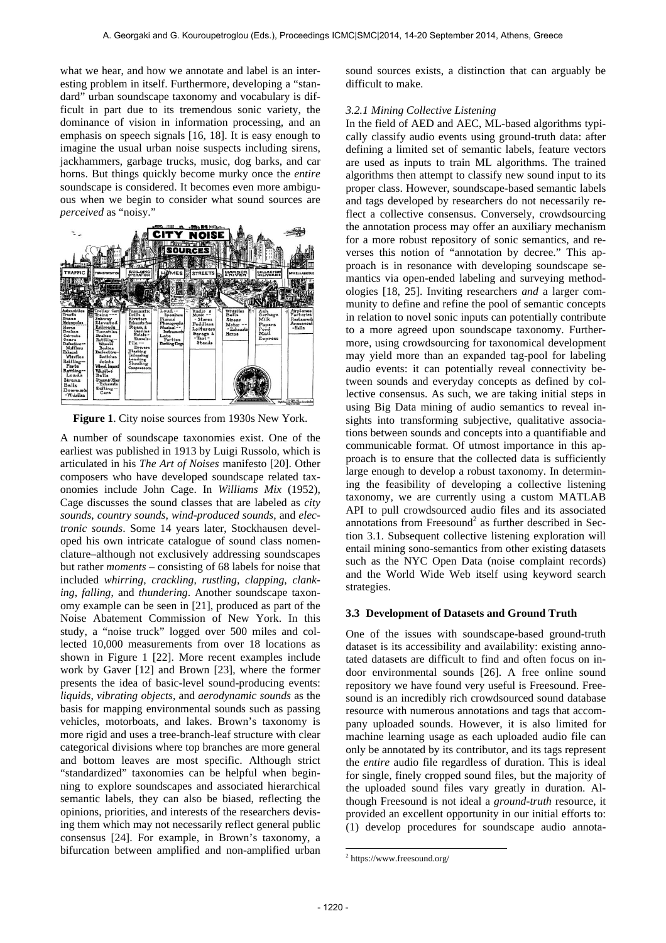what we hear, and how we annotate and label is an interesting problem in itself. Furthermore, developing a "standard" urban soundscape taxonomy and vocabulary is difficult in part due to its tremendous sonic variety, the dominance of vision in information processing, and an emphasis on speech signals [16, 18]. It is easy enough to imagine the usual urban noise suspects including sirens, jackhammers, garbage trucks, music, dog barks, and car horns. But things quickly become murky once the *entire* soundscape is considered. It becomes even more ambiguous when we begin to consider what sound sources are *perceived* as "noisy."



**Figure 1**. City noise sources from 1930s New York.

A number of soundscape taxonomies exist. One of the earliest was published in 1913 by Luigi Russolo, which is articulated in his *The Art of Noises* manifesto [20]. Other composers who have developed soundscape related taxonomies include John Cage. In *Williams Mix* (1952), Cage discusses the sound classes that are labeled as *city sounds*, *country sounds*, *wind-produced sounds*, and *electronic sounds*. Some 14 years later, Stockhausen developed his own intricate catalogue of sound class nomenclature–although not exclusively addressing soundscapes but rather *moments* – consisting of 68 labels for noise that included *whirring*, *crackling*, *rustling*, *clapping*, *clanking*, *falling*, and *thundering*. Another soundscape taxonomy example can be seen in [21], produced as part of the Noise Abatement Commission of New York. In this study, a "noise truck" logged over 500 miles and collected 10,000 measurements from over 18 locations as shown in Figure 1 [22]. More recent examples include work by Gaver [12] and Brown [23], where the former presents the idea of basic-level sound-producing events: *liquids*, *vibrating objects*, and *aerodynamic sounds* as the basis for mapping environmental sounds such as passing vehicles, motorboats, and lakes. Brown's taxonomy is more rigid and uses a tree-branch-leaf structure with clear categorical divisions where top branches are more general and bottom leaves are most specific. Although strict "standardized" taxonomies can be helpful when beginning to explore soundscapes and associated hierarchical semantic labels, they can also be biased, reflecting the opinions, priorities, and interests of the researchers devising them which may not necessarily reflect general public consensus [24]. For example, in Brown's taxonomy, a bifurcation between amplified and non-amplified urban

sound sources exists, a distinction that can arguably be difficult to make.

#### *3.2.1 Mining Collective Listening*

In the field of AED and AEC, ML-based algorithms typically classify audio events using ground-truth data: after defining a limited set of semantic labels, feature vectors are used as inputs to train ML algorithms. The trained algorithms then attempt to classify new sound input to its proper class. However, soundscape-based semantic labels and tags developed by researchers do not necessarily reflect a collective consensus. Conversely, crowdsourcing the annotation process may offer an auxiliary mechanism for a more robust repository of sonic semantics, and reverses this notion of "annotation by decree." This approach is in resonance with developing soundscape semantics via open-ended labeling and surveying methodologies [18, 25]. Inviting researchers *and* a larger community to define and refine the pool of semantic concepts in relation to novel sonic inputs can potentially contribute to a more agreed upon soundscape taxonomy. Furthermore, using crowdsourcing for taxonomical development may yield more than an expanded tag-pool for labeling audio events: it can potentially reveal connectivity between sounds and everyday concepts as defined by collective consensus. As such, we are taking initial steps in using Big Data mining of audio semantics to reveal insights into transforming subjective, qualitative associations between sounds and concepts into a quantifiable and communicable format. Of utmost importance in this approach is to ensure that the collected data is sufficiently large enough to develop a robust taxonomy. In determining the feasibility of developing a collective listening taxonomy, we are currently using a custom MATLAB API to pull crowdsourced audio files and its associated annotations from Freesound<sup>2</sup> as further described in Section 3.1. Subsequent collective listening exploration will entail mining sono-semantics from other existing datasets such as the NYC Open Data (noise complaint records) and the World Wide Web itself using keyword search strategies.

#### **3.3 Development of Datasets and Ground Truth**

One of the issues with soundscape-based ground-truth dataset is its accessibility and availability: existing annotated datasets are difficult to find and often focus on indoor environmental sounds [26]. A free online sound repository we have found very useful is Freesound. Freesound is an incredibly rich crowdsourced sound database resource with numerous annotations and tags that accompany uploaded sounds. However, it is also limited for machine learning usage as each uploaded audio file can only be annotated by its contributor, and its tags represent the *entire* audio file regardless of duration. This is ideal for single, finely cropped sound files, but the majority of the uploaded sound files vary greatly in duration. Although Freesound is not ideal a *ground-truth* resource, it provided an excellent opportunity in our initial efforts to: (1) develop procedures for soundscape audio annota-

 $\overline{\phantom{a}}$ 

<sup>2</sup> https://www.freesound.org/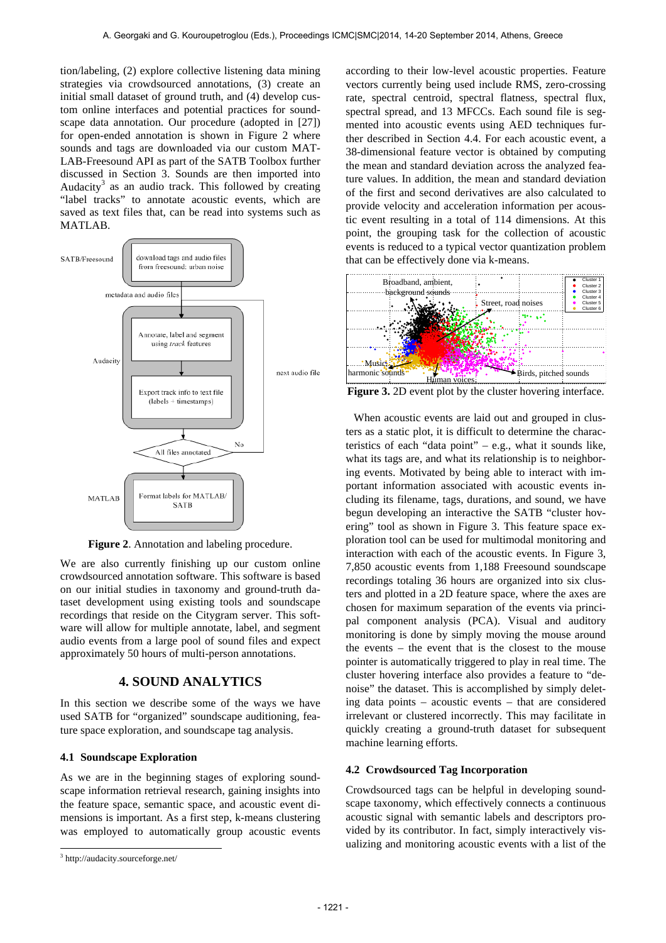tion/labeling, (2) explore collective listening data mining strategies via crowdsourced annotations, (3) create an initial small dataset of ground truth, and (4) develop custom online interfaces and potential practices for soundscape data annotation. Our procedure (adopted in [27]) for open-ended annotation is shown in Figure 2 where sounds and tags are downloaded via our custom MAT-LAB-Freesound API as part of the SATB Toolbox further discussed in Section 3. Sounds are then imported into Audacity<sup>3</sup> as an audio track. This followed by creating "label tracks" to annotate acoustic events, which are saved as text files that, can be read into systems such as MATLAB.



**Figure 2**. Annotation and labeling procedure.

We are also currently finishing up our custom online crowdsourced annotation software. This software is based on our initial studies in taxonomy and ground-truth dataset development using existing tools and soundscape recordings that reside on the Citygram server. This software will allow for multiple annotate, label, and segment audio events from a large pool of sound files and expect approximately 50 hours of multi-person annotations.

# **4. SOUND ANALYTICS**

In this section we describe some of the ways we have used SATB for "organized" soundscape auditioning, feature space exploration, and soundscape tag analysis.

#### **4.1 Soundscape Exploration**

As we are in the beginning stages of exploring soundscape information retrieval research, gaining insights into the feature space, semantic space, and acoustic event dimensions is important. As a first step, k-means clustering was employed to automatically group acoustic events

l

according to their low-level acoustic properties. Feature vectors currently being used include RMS, zero-crossing rate, spectral centroid, spectral flatness, spectral flux, spectral spread, and 13 MFCCs. Each sound file is segmented into acoustic events using AED techniques further described in Section 4.4. For each acoustic event, a 38-dimensional feature vector is obtained by computing the mean and standard deviation across the analyzed feature values. In addition, the mean and standard deviation of the first and second derivatives are also calculated to provide velocity and acceleration information per acoustic event resulting in a total of 114 dimensions. At this point, the grouping task for the collection of acoustic events is reduced to a typical vector quantization problem that can be effectively done via k-means.



Figure 3. 2D event plot by the cluster hovering interface.

When acoustic events are laid out and grouped in clusters as a static plot, it is difficult to determine the characteristics of each "data point" – e.g., what it sounds like, what its tags are, and what its relationship is to neighboring events. Motivated by being able to interact with important information associated with acoustic events including its filename, tags, durations, and sound, we have begun developing an interactive the SATB "cluster hovering" tool as shown in Figure 3. This feature space exploration tool can be used for multimodal monitoring and interaction with each of the acoustic events. In Figure 3, 7,850 acoustic events from 1,188 Freesound soundscape recordings totaling 36 hours are organized into six clusters and plotted in a 2D feature space, where the axes are chosen for maximum separation of the events via principal component analysis (PCA). Visual and auditory monitoring is done by simply moving the mouse around the events – the event that is the closest to the mouse pointer is automatically triggered to play in real time. The cluster hovering interface also provides a feature to "denoise" the dataset. This is accomplished by simply deleting data points – acoustic events – that are considered irrelevant or clustered incorrectly. This may facilitate in quickly creating a ground-truth dataset for subsequent machine learning efforts.

#### **4.2 Crowdsourced Tag Incorporation**

Crowdsourced tags can be helpful in developing soundscape taxonomy, which effectively connects a continuous acoustic signal with semantic labels and descriptors provided by its contributor. In fact, simply interactively visualizing and monitoring acoustic events with a list of the

<sup>3</sup> http://audacity.sourceforge.net/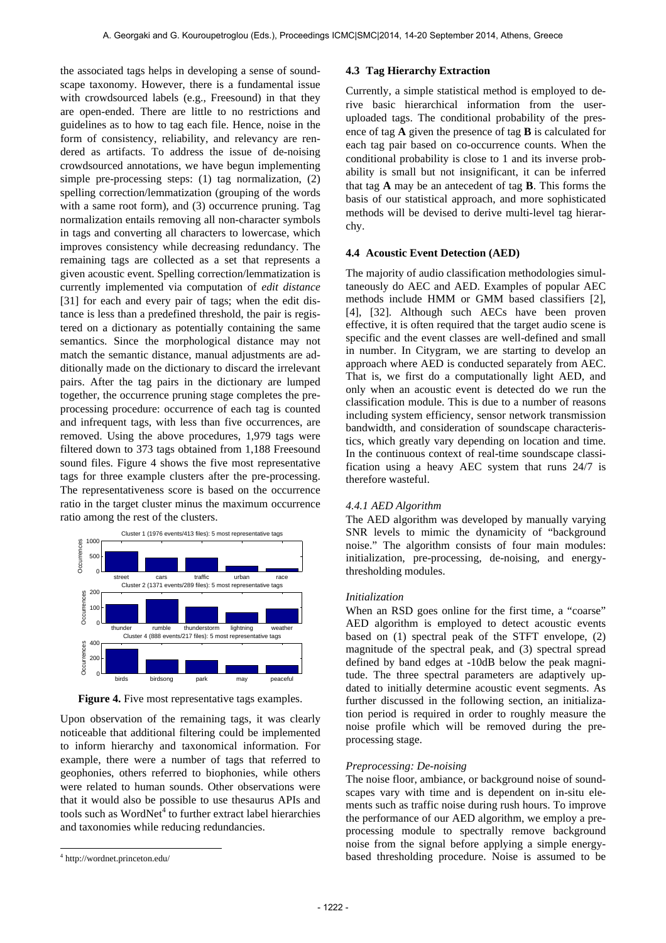the associated tags helps in developing a sense of soundscape taxonomy. However, there is a fundamental issue with crowdsourced labels (e.g., Freesound) in that they are open-ended. There are little to no restrictions and guidelines as to how to tag each file. Hence, noise in the form of consistency, reliability, and relevancy are rendered as artifacts. To address the issue of de-noising crowdsourced annotations, we have begun implementing simple pre-processing steps: (1) tag normalization, (2) spelling correction/lemmatization (grouping of the words with a same root form), and (3) occurrence pruning. Tag normalization entails removing all non-character symbols in tags and converting all characters to lowercase, which improves consistency while decreasing redundancy. The remaining tags are collected as a set that represents a given acoustic event. Spelling correction/lemmatization is currently implemented via computation of *edit distance* [31] for each and every pair of tags; when the edit distance is less than a predefined threshold, the pair is registered on a dictionary as potentially containing the same semantics. Since the morphological distance may not match the semantic distance, manual adjustments are additionally made on the dictionary to discard the irrelevant pairs. After the tag pairs in the dictionary are lumped together, the occurrence pruning stage completes the preprocessing procedure: occurrence of each tag is counted and infrequent tags, with less than five occurrences, are removed. Using the above procedures, 1,979 tags were filtered down to 373 tags obtained from 1,188 Freesound sound files. Figure 4 shows the five most representative tags for three example clusters after the pre-processing. The representativeness score is based on the occurrence ratio in the target cluster minus the maximum occurrence ratio among the rest of the clusters.



Figure 4. Five most representative tags examples.

 $nc$ noticeable that additional filtering could be implemented Upon observation of the remaining tags, it was clearly i;<br>. carnival dutch tube shertogenebosch jackhammer och shertogenebosch jackhammer och jackhammer och jackhammer oc<br>Bezonder i;<br>ا to inform hierarchy and taxonomical information. For example, there were a number of tags that referred to geophonies, others referred to biophonies, while others were related to human sounds. Other observations were that it would also be possible to use thesaurus APIs and tools such as WordNet<sup>4</sup> to further extract label hierarchies and taxonomies while reducing redundancies.

l

#### **4.3 Tag Hierarchy Extraction**

Currently, a simple statistical method is employed to derive basic hierarchical information from the useruploaded tags. The conditional probability of the presence of tag **A** given the presence of tag **B** is calculated for each tag pair based on co-occurrence counts. When the conditional probability is close to 1 and its inverse probability is small but not insignificant, it can be inferred that tag **A** may be an antecedent of tag **B**. This forms the basis of our statistical approach, and more sophisticated methods will be devised to derive multi-level tag hierarchy.

#### **4.4 Acoustic Event Detection (AED)**

The majority of audio classification methodologies simultaneously do AEC and AED. Examples of popular AEC methods include HMM or GMM based classifiers [2], [4], [32]. Although such AECs have been proven effective, it is often required that the target audio scene is specific and the event classes are well-defined and small in number. In Citygram, we are starting to develop an approach where AED is conducted separately from AEC. That is, we first do a computationally light AED, and only when an acoustic event is detected do we run the classification module. This is due to a number of reasons including system efficiency, sensor network transmission bandwidth, and consideration of soundscape characteristics, which greatly vary depending on location and time. In the continuous context of real-time soundscape classification using a heavy AEC system that runs 24/7 is therefore wasteful.

#### *4.4.1 AED Algorithm*

thresholding modules. SNR levels to mimic the dynamicity of "background The AED algorithm was developed by manually varying noise." The algorithm consists of four main modules: initialization, pre-processing, de-noising, and energy-

#### *Initialization*

AED algorithm is employed to detect acoustic events tude. The three spectral parameters are adaptively upbased on (1) spectral peak of the STFT envelope, (2) When an RSD goes online for the first time, a "coarse" magnitude of the spectral peak, and (3) spectral spread defined by band edges at -10dB below the peak magnidated to initially determine acoustic event segments. As further discussed in the following section, an initialization period is required in order to roughly measure the noise profile which will be removed during the preprocessing stage.

#### *Preprocessing: De-noising*

The noise floor, ambiance, or background noise of soundscapes vary with time and is dependent on in-situ elements such as traffic noise during rush hours. To improve the performance of our AED algorithm, we employ a preprocessing module to spectrally remove background noise from the signal before applying a simple energybased thresholding procedure. Noise is assumed to be

<sup>4</sup> http://wordnet.princeton.edu/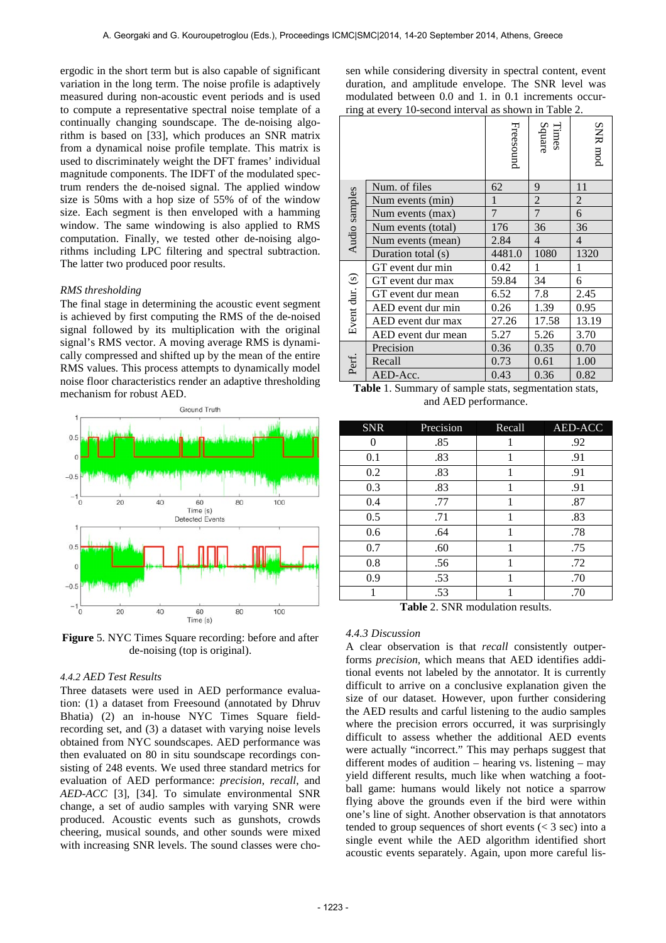ergodic in the short term but is also capable of significant variation in the long term. The noise profile is adaptively measured during non-acoustic event periods and is used to compute a representative spectral noise template of a continually changing soundscape. The de-noising algorithm is based on [33], which produces an SNR matrix from a dynamical noise profile template. This matrix is used to discriminately weight the DFT frames' individual magnitude components. The IDFT of the modulated spectrum renders the de-noised signal. The applied window size is 50ms with a hop size of 55% of of the window size. Each segment is then enveloped with a hamming window. The same windowing is also applied to RMS computation. Finally, we tested other de-noising algorithms including LPC filtering and spectral subtraction. The latter two produced poor results.

#### *RMS thresholding*

The final stage in determining the acoustic event segment is achieved by first computing the RMS of the de-noised signal followed by its multiplication with the original signal's RMS vector. A moving average RMS is dynamically compressed and shifted up by the mean of the entire RMS values. This process attempts to dynamically model noise floor characteristics render an adaptive thresholding mechanism for robust AED.



**Figure** 5. NYC Times Square recording: before and after de-noising (top is original).

#### *4.4.2 AED Test Results*

Three datasets were used in AED performance evaluation: (1) a dataset from Freesound (annotated by Dhruv Bhatia) (2) an in-house NYC Times Square fieldrecording set, and (3) a dataset with varying noise levels obtained from NYC soundscapes. AED performance was then evaluated on 80 in situ soundscape recordings consisting of 248 events. We used three standard metrics for evaluation of AED performance: *precision*, *recall*, and *AED-ACC* [3], [34]. To simulate environmental SNR change, a set of audio samples with varying SNR were produced. Acoustic events such as gunshots, crowds cheering, musical sounds, and other sounds were mixed with increasing SNR levels. The sound classes were chosen while considering diversity in spectral content, event duration, and amplitude envelope. The SNR level was modulated between 0.0 and 1. in 0.1 increments occurring at every 10-second interval as shown in Table 2.

| $\lim_{\epsilon \to 0}$ at every to-second meet valuas shown in Table 2. |           |                 |                |  |
|--------------------------------------------------------------------------|-----------|-----------------|----------------|--|
|                                                                          | Freesound | Square<br>Times | SNR mod        |  |
| Num. of files                                                            | 62        | 9               | 11             |  |
| Num events (min)                                                         | 1         | $\sqrt{2}$      | $\overline{2}$ |  |
| Num events (max)                                                         | 7         | $\overline{7}$  | 6              |  |
| Num events (total)                                                       | 176       | 36              | 36             |  |
| Num events (mean)                                                        | 2.84      | $\overline{4}$  | $\overline{4}$ |  |
| Duration total (s)                                                       | 4481.0    | 1080            | 1320           |  |
| GT event dur min                                                         | 0.42      | 1               | $\mathbf{1}$   |  |
| GT event dur max                                                         | 59.84     | 34              | 6              |  |
| GT event dur mean                                                        | 6.52      | 7.8             | 2.45           |  |
| AED event dur min                                                        | 0.26      | 1.39            | 0.95           |  |
| AED event dur max                                                        | 27.26     | 17.58           | 13.19          |  |
| AED event dur mean                                                       | 5.27      | 5.26            | 3.70           |  |
| Precision                                                                | 0.36      | 0.35            | 0.70           |  |
| Recall                                                                   | 0.73      | 0.61            | 1.00           |  |
| AED-Acc.                                                                 | 0.43      | 0.36            | 0.82           |  |
|                                                                          |           |                 |                |  |

**Table** 1. Summary of sample stats, segmentation stats, and AED performance.

| <b>SNR</b> | Precision | Recall | AED-ACC |
|------------|-----------|--------|---------|
| 0          | .85       |        | .92     |
| 0.1        | .83       | 1      | .91     |
| 0.2        | .83       |        | .91     |
| 0.3        | .83       | 1      | .91     |
| 0.4        | .77       | 1      | .87     |
| 0.5        | .71       | 1      | .83     |
| 0.6        | .64       | 1      | .78     |
| 0.7        | .60       | 1      | .75     |
| 0.8        | .56       | 1      | .72     |
| 0.9        | .53       | 1      | .70     |
|            | .53       |        | .70     |

**Table** 2. SNR modulation results.

### *4.4.3 Discussion*

A clear observation is that *recall* consistently outperforms *precision*, which means that AED identifies additional events not labeled by the annotator. It is currently difficult to arrive on a conclusive explanation given the size of our dataset. However, upon further considering the AED results and carful listening to the audio samples where the precision errors occurred, it was surprisingly difficult to assess whether the additional AED events were actually "incorrect." This may perhaps suggest that different modes of audition – hearing vs. listening – may yield different results, much like when watching a football game: humans would likely not notice a sparrow flying above the grounds even if the bird were within one's line of sight. Another observation is that annotators tended to group sequences of short events  $(< 3 \text{ sec})$  into a single event while the AED algorithm identified short acoustic events separately. Again, upon more careful lis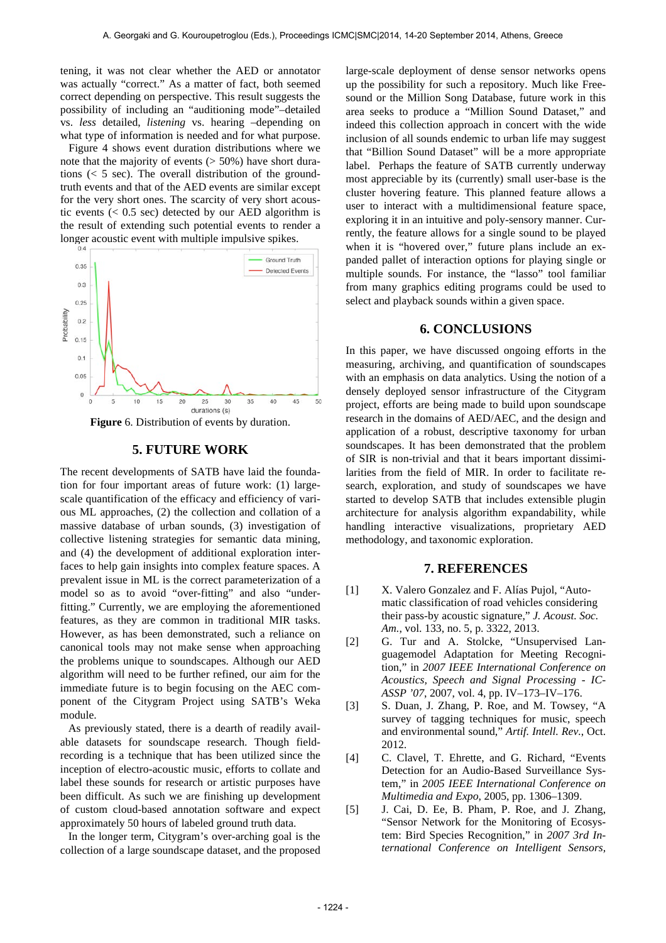tening, it was not clear whether the AED or annotator was actually "correct." As a matter of fact, both seemed correct depending on perspective. This result suggests the possibility of including an "auditioning mode"–detailed vs. *less* detailed, *listening* vs. hearing –depending on what type of information is needed and for what purpose.

 Figure 4 shows event duration distributions where we note that the majority of events  $($  > 50%) have short durations  $(< 5 \text{ sec})$ . The overall distribution of the groundtruth events and that of the AED events are similar except for the very short ones. The scarcity of very short acoustic events  $( $0.5$  sec) detected by our AED algorithm is$ the result of extending such potential events to render a longer acoustic event with multiple impulsive spikes.



**Figure** 6. Distribution of events by duration.

# **5. FUTURE WORK**

The recent developments of SATB have laid the foundation for four important areas of future work: (1) largescale quantification of the efficacy and efficiency of various ML approaches, (2) the collection and collation of a massive database of urban sounds, (3) investigation of collective listening strategies for semantic data mining, and (4) the development of additional exploration interfaces to help gain insights into complex feature spaces. A prevalent issue in ML is the correct parameterization of a model so as to avoid "over-fitting" and also "underfitting." Currently, we are employing the aforementioned features, as they are common in traditional MIR tasks. However, as has been demonstrated, such a reliance on canonical tools may not make sense when approaching the problems unique to soundscapes. Although our AED algorithm will need to be further refined, our aim for the immediate future is to begin focusing on the AEC component of the Citygram Project using SATB's Weka module.

As previously stated, there is a dearth of readily available datasets for soundscape research. Though fieldrecording is a technique that has been utilized since the inception of electro-acoustic music, efforts to collate and label these sounds for research or artistic purposes have been difficult. As such we are finishing up development of custom cloud-based annotation software and expect approximately 50 hours of labeled ground truth data.

In the longer term, Citygram's over-arching goal is the collection of a large soundscape dataset, and the proposed large-scale deployment of dense sensor networks opens up the possibility for such a repository. Much like Freesound or the Million Song Database, future work in this area seeks to produce a "Million Sound Dataset," and indeed this collection approach in concert with the wide inclusion of all sounds endemic to urban life may suggest that "Billion Sound Dataset" will be a more appropriate label. Perhaps the feature of SATB currently underway most appreciable by its (currently) small user-base is the cluster hovering feature. This planned feature allows a user to interact with a multidimensional feature space, exploring it in an intuitive and poly-sensory manner. Currently, the feature allows for a single sound to be played when it is "hovered over," future plans include an expanded pallet of interaction options for playing single or multiple sounds. For instance, the "lasso" tool familiar from many graphics editing programs could be used to select and playback sounds within a given space.

## **6. CONCLUSIONS**

In this paper, we have discussed ongoing efforts in the measuring, archiving, and quantification of soundscapes with an emphasis on data analytics. Using the notion of a densely deployed sensor infrastructure of the Citygram project, efforts are being made to build upon soundscape research in the domains of AED/AEC, and the design and application of a robust, descriptive taxonomy for urban soundscapes. It has been demonstrated that the problem of SIR is non-trivial and that it bears important dissimilarities from the field of MIR. In order to facilitate research, exploration, and study of soundscapes we have started to develop SATB that includes extensible plugin architecture for analysis algorithm expandability, while handling interactive visualizations, proprietary AED methodology, and taxonomic exploration.

# **7. REFERENCES**

- [1] X. Valero Gonzalez and F. Alías Pujol, "Automatic classification of road vehicles considering their pass-by acoustic signature," *J. Acoust. Soc. Am.*, vol. 133, no. 5, p. 3322, 2013.
- [2] G. Tur and A. Stolcke, "Unsupervised Languagemodel Adaptation for Meeting Recognition," in *2007 IEEE International Conference on Acoustics, Speech and Signal Processing - IC-ASSP '07*, 2007, vol. 4, pp. IV–173–IV–176.
- [3] S. Duan, J. Zhang, P. Roe, and M. Towsey, "A survey of tagging techniques for music, speech and environmental sound," *Artif. Intell. Rev.*, Oct. 2012.
- [4] C. Clavel, T. Ehrette, and G. Richard, "Events Detection for an Audio-Based Surveillance System," in *2005 IEEE International Conference on Multimedia and Expo*, 2005, pp. 1306–1309.
- [5] J. Cai, D. Ee, B. Pham, P. Roe, and J. Zhang, "Sensor Network for the Monitoring of Ecosystem: Bird Species Recognition," in *2007 3rd International Conference on Intelligent Sensors,*